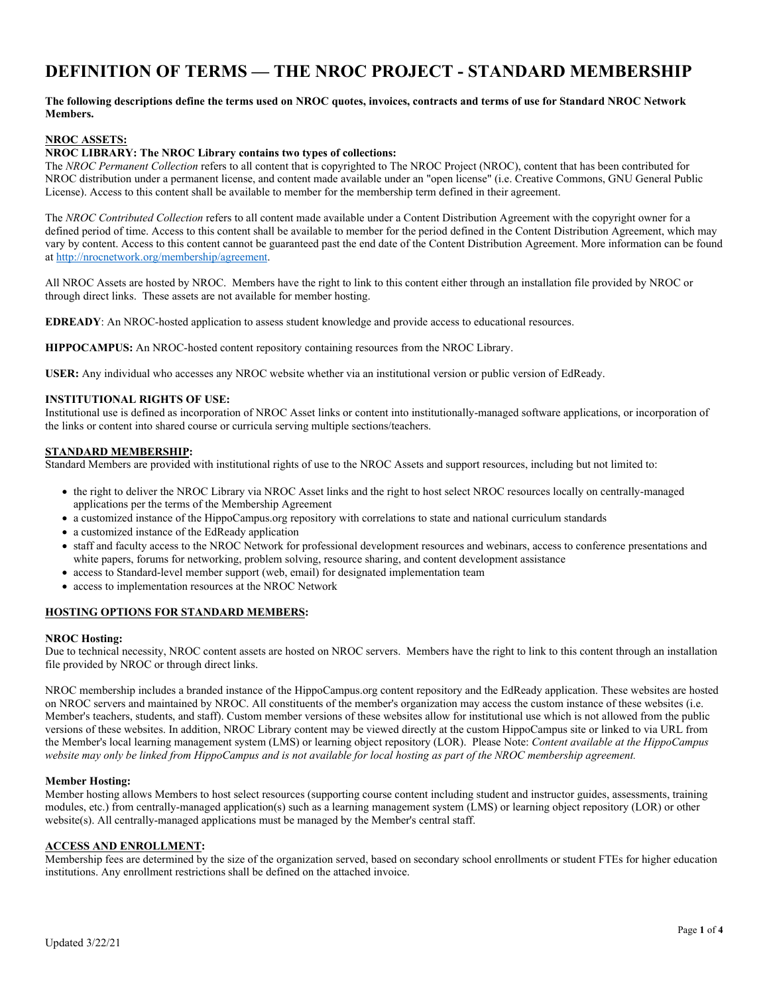# **DEFINITION OF TERMS — THE NROC PROJECT - STANDARD MEMBERSHIP**

# **The following descriptions define the terms used on NROC quotes, invoices, contracts and terms of use for Standard NROC Network Members.**

## **NROC ASSETS:**

### **NROC LIBRARY: The NROC Library contains two types of collections:**

The *NROC Permanent Collection* refers to all content that is copyrighted to The NROC Project (NROC), content that has been contributed for NROC distribution under a permanent license, and content made available under an "open license" (i.e. Creative Commons, GNU General Public License). Access to this content shall be available to member for the membership term defined in their agreement.

The *NROC Contributed Collection* refers to all content made available under a Content Distribution Agreement with the copyright owner for a defined period of time. Access to this content shall be available to member for the period defined in the Content Distribution Agreement, which may vary by content. Access to this content cannot be guaranteed past the end date of the Content Distribution Agreement. More information can be found at http://nrocnetwork.org/membership/agreement.

All NROC Assets are hosted by NROC. Members have the right to link to this content either through an installation file provided by NROC or through direct links. These assets are not available for member hosting.

**EDREADY**: An NROC-hosted application to assess student knowledge and provide access to educational resources.

**HIPPOCAMPUS:** An NROC-hosted content repository containing resources from the NROC Library.

**USER:** Any individual who accesses any NROC website whether via an institutional version or public version of EdReady.

### **INSTITUTIONAL RIGHTS OF USE:**

Institutional use is defined as incorporation of NROC Asset links or content into institutionally-managed software applications, or incorporation of the links or content into shared course or curricula serving multiple sections/teachers.

### **STANDARD MEMBERSHIP:**

Standard Members are provided with institutional rights of use to the NROC Assets and support resources, including but not limited to:

- the right to deliver the NROC Library via NROC Asset links and the right to host select NROC resources locally on centrally-managed applications per the terms of the Membership Agreement
- a customized instance of the HippoCampus.org repository with correlations to state and national curriculum standards
- a customized instance of the EdReady application
- staff and faculty access to the NROC Network for professional development resources and webinars, access to conference presentations and white papers, forums for networking, problem solving, resource sharing, and content development assistance
- access to Standard-level member support (web, email) for designated implementation team
- access to implementation resources at the NROC Network

## **HOSTING OPTIONS FOR STANDARD MEMBERS:**

#### **NROC Hosting:**

Due to technical necessity, NROC content assets are hosted on NROC servers. Members have the right to link to this content through an installation file provided by NROC or through direct links.

NROC membership includes a branded instance of the HippoCampus.org content repository and the EdReady application. These websites are hosted on NROC servers and maintained by NROC. All constituents of the member's organization may access the custom instance of these websites (i.e. Member's teachers, students, and staff). Custom member versions of these websites allow for institutional use which is not allowed from the public versions of these websites. In addition, NROC Library content may be viewed directly at the custom HippoCampus site or linked to via URL from the Member's local learning management system (LMS) or learning object repository (LOR). Please Note: *Content available at the HippoCampus website may only be linked from HippoCampus and is not available for local hosting as part of the NROC membership agreement.* 

#### **Member Hosting:**

Member hosting allows Members to host select resources (supporting course content including student and instructor guides, assessments, training modules, etc.) from centrally-managed application(s) such as a learning management system (LMS) or learning object repository (LOR) or other website(s). All centrally-managed applications must be managed by the Member's central staff.

# **ACCESS AND ENROLLMENT:**

Membership fees are determined by the size of the organization served, based on secondary school enrollments or student FTEs for higher education institutions. Any enrollment restrictions shall be defined on the attached invoice.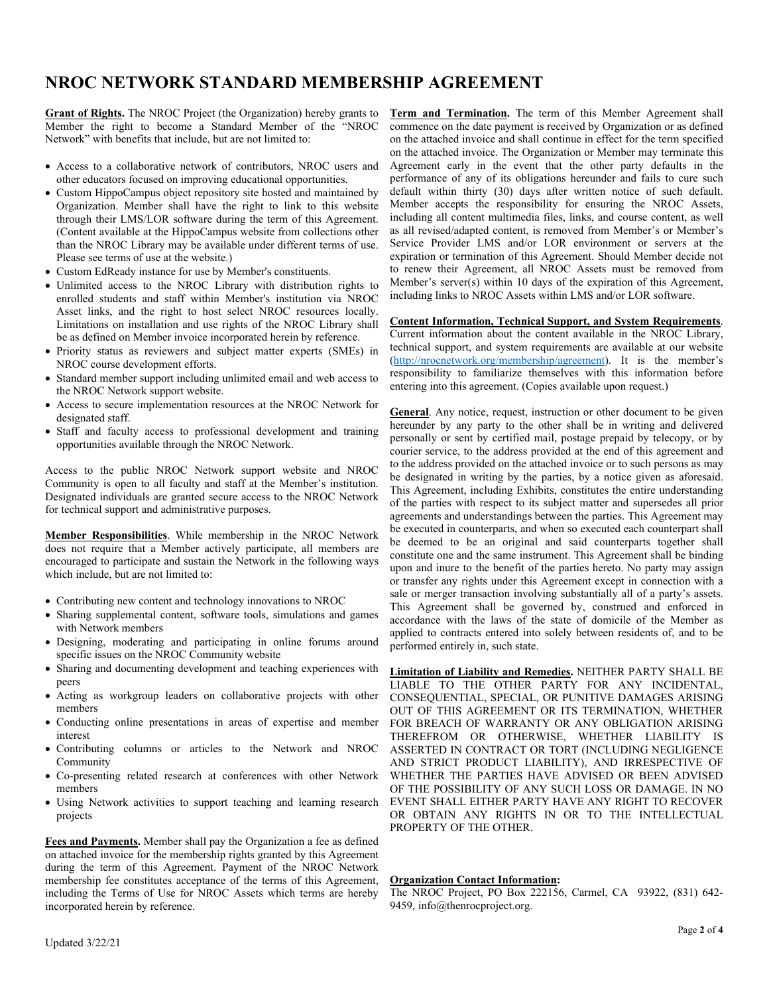# **NROC NETWORK STANDARD MEMBERSHIP AGREEMENT**

**Grant of Rights.** The NROC Project (the Organization) hereby grants to Member the right to become a Standard Member of the "NROC Network" with benefits that include, but are not limited to:

- Access to a collaborative network of contributors, NROC users and other educators focused on improving educational opportunities.
- Custom HippoCampus object repository site hosted and maintained by Organization. Member shall have the right to link to this website through their LMS/LOR software during the term of this Agreement. (Content available at the HippoCampus website from collections other than the NROC Library may be available under different terms of use. Please see terms of use at the website.)
- Custom EdReady instance for use by Member's constituents.
- Unlimited access to the NROC Library with distribution rights to enrolled students and staff within Member's institution via NROC Asset links, and the right to host select NROC resources locally. Limitations on installation and use rights of the NROC Library shall be as defined on Member invoice incorporated herein by reference.
- Priority status as reviewers and subject matter experts (SMEs) in NROC course development efforts.
- Standard member support including unlimited email and web access to the NROC Network support website.
- Access to secure implementation resources at the NROC Network for designated staff.
- Staff and faculty access to professional development and training opportunities available through the NROC Network.

Access to the public NROC Network support website and NROC Community is open to all faculty and staff at the Member's institution. Designated individuals are granted secure access to the NROC Network for technical support and administrative purposes.

**Member Responsibilities**. While membership in the NROC Network does not require that a Member actively participate, all members are encouraged to participate and sustain the Network in the following ways which include, but are not limited to:

- Contributing new content and technology innovations to NROC
- Sharing supplemental content, software tools, simulations and games with Network members
- Designing, moderating and participating in online forums around specific issues on the NROC Community website
- Sharing and documenting development and teaching experiences with peers
- Acting as workgroup leaders on collaborative projects with other members
- Conducting online presentations in areas of expertise and member interest
- Contributing columns or articles to the Network and NROC Community
- Co-presenting related research at conferences with other Network members
- Using Network activities to support teaching and learning research projects

**Fees and Payments.** Member shall pay the Organization a fee as defined on attached invoice for the membership rights granted by this Agreement during the term of this Agreement. Payment of the NROC Network membership fee constitutes acceptance of the terms of this Agreement, including the Terms of Use for NROC Assets which terms are hereby incorporated herein by reference.

**Term and Termination.** The term of this Member Agreement shall commence on the date payment is received by Organization or as defined on the attached invoice and shall continue in effect for the term specified on the attached invoice. The Organization or Member may terminate this Agreement early in the event that the other party defaults in the performance of any of its obligations hereunder and fails to cure such default within thirty (30) days after written notice of such default. Member accepts the responsibility for ensuring the NROC Assets, including all content multimedia files, links, and course content, as well as all revised/adapted content, is removed from Member's or Member's Service Provider LMS and/or LOR environment or servers at the expiration or termination of this Agreement. Should Member decide not to renew their Agreement, all NROC Assets must be removed from Member's server(s) within 10 days of the expiration of this Agreement, including links to NROC Assets within LMS and/or LOR software.

# **Content Information, Technical Support, and System Requirements**.

Current information about the content available in the NROC Library, technical support, and system requirements are available at our website (http://nrocnetwork.org/membership/agreement). It is the member's responsibility to familiarize themselves with this information before entering into this agreement. (Copies available upon request.)

**General**. Any notice, request, instruction or other document to be given hereunder by any party to the other shall be in writing and delivered personally or sent by certified mail, postage prepaid by telecopy, or by courier service, to the address provided at the end of this agreement and to the address provided on the attached invoice or to such persons as may be designated in writing by the parties, by a notice given as aforesaid. This Agreement, including Exhibits, constitutes the entire understanding of the parties with respect to its subject matter and supersedes all prior agreements and understandings between the parties. This Agreement may be executed in counterparts, and when so executed each counterpart shall be deemed to be an original and said counterparts together shall constitute one and the same instrument. This Agreement shall be binding upon and inure to the benefit of the parties hereto. No party may assign or transfer any rights under this Agreement except in connection with a sale or merger transaction involving substantially all of a party's assets. This Agreement shall be governed by, construed and enforced in accordance with the laws of the state of domicile of the Member as applied to contracts entered into solely between residents of, and to be performed entirely in, such state.

**Limitation of Liability and Remedies.** NEITHER PARTY SHALL BE LIABLE TO THE OTHER PARTY FOR ANY INCIDENTAL, CONSEQUENTIAL, SPECIAL, OR PUNITIVE DAMAGES ARISING OUT OF THIS AGREEMENT OR ITS TERMINATION, WHETHER FOR BREACH OF WARRANTY OR ANY OBLIGATION ARISING THEREFROM OR OTHERWISE, WHETHER LIABILITY IS ASSERTED IN CONTRACT OR TORT (INCLUDING NEGLIGENCE AND STRICT PRODUCT LIABILITY), AND IRRESPECTIVE OF WHETHER THE PARTIES HAVE ADVISED OR BEEN ADVISED OF THE POSSIBILITY OF ANY SUCH LOSS OR DAMAGE. IN NO EVENT SHALL EITHER PARTY HAVE ANY RIGHT TO RECOVER OR OBTAIN ANY RIGHTS IN OR TO THE INTELLECTUAL PROPERTY OF THE OTHER.

## **Organization Contact Information:**

The NROC Project, PO Box 222156, Carmel, CA 93922, (831) 642- 9459, info@thenrocproject.org.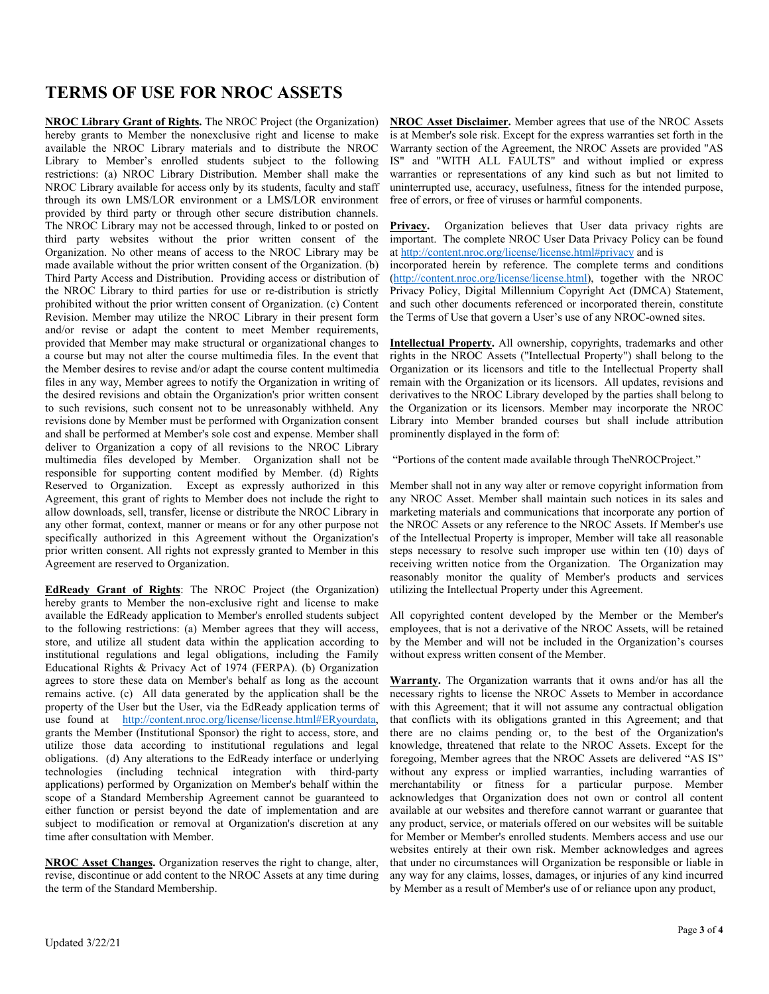# **TERMS OF USE FOR NROC ASSETS**

**NROC Library Grant of Rights.** The NROC Project (the Organization) hereby grants to Member the nonexclusive right and license to make available the NROC Library materials and to distribute the NROC Library to Member's enrolled students subject to the following restrictions: (a) NROC Library Distribution. Member shall make the NROC Library available for access only by its students, faculty and staff through its own LMS/LOR environment or a LMS/LOR environment provided by third party or through other secure distribution channels. The NROC Library may not be accessed through, linked to or posted on third party websites without the prior written consent of the Organization. No other means of access to the NROC Library may be made available without the prior written consent of the Organization. (b) Third Party Access and Distribution. Providing access or distribution of the NROC Library to third parties for use or re-distribution is strictly prohibited without the prior written consent of Organization. (c) Content Revision. Member may utilize the NROC Library in their present form and/or revise or adapt the content to meet Member requirements, provided that Member may make structural or organizational changes to a course but may not alter the course multimedia files. In the event that the Member desires to revise and/or adapt the course content multimedia files in any way, Member agrees to notify the Organization in writing of the desired revisions and obtain the Organization's prior written consent to such revisions, such consent not to be unreasonably withheld. Any revisions done by Member must be performed with Organization consent and shall be performed at Member's sole cost and expense. Member shall deliver to Organization a copy of all revisions to the NROC Library multimedia files developed by Member. Organization shall not be responsible for supporting content modified by Member. (d) Rights Reserved to Organization. Except as expressly authorized in this Agreement, this grant of rights to Member does not include the right to allow downloads, sell, transfer, license or distribute the NROC Library in any other format, context, manner or means or for any other purpose not specifically authorized in this Agreement without the Organization's prior written consent. All rights not expressly granted to Member in this Agreement are reserved to Organization.

**EdReady Grant of Rights**: The NROC Project (the Organization) hereby grants to Member the non-exclusive right and license to make available the EdReady application to Member's enrolled students subject to the following restrictions: (a) Member agrees that they will access, store, and utilize all student data within the application according to institutional regulations and legal obligations, including the Family Educational Rights & Privacy Act of 1974 (FERPA). (b) Organization agrees to store these data on Member's behalf as long as the account remains active. (c) All data generated by the application shall be the property of the User but the User, via the EdReady application terms of use found at http://content.nroc.org/license/license.html#ERyourdata, grants the Member (Institutional Sponsor) the right to access, store, and utilize those data according to institutional regulations and legal obligations. (d) Any alterations to the EdReady interface or underlying technologies (including technical integration with third-party applications) performed by Organization on Member's behalf within the scope of a Standard Membership Agreement cannot be guaranteed to either function or persist beyond the date of implementation and are subject to modification or removal at Organization's discretion at any time after consultation with Member.

**NROC Asset Changes.** Organization reserves the right to change, alter, revise, discontinue or add content to the NROC Assets at any time during the term of the Standard Membership.

**NROC Asset Disclaimer.** Member agrees that use of the NROC Assets is at Member's sole risk. Except for the express warranties set forth in the Warranty section of the Agreement, the NROC Assets are provided "AS IS" and "WITH ALL FAULTS" and without implied or express warranties or representations of any kind such as but not limited to uninterrupted use, accuracy, usefulness, fitness for the intended purpose, free of errors, or free of viruses or harmful components.

Privacy. Organization believes that User data privacy rights are important. The complete NROC User Data Privacy Policy can be found at http://content.nroc.org/license/license.html#privacy and is

incorporated herein by reference. The complete terms and conditions (http://content.nroc.org/license/license.html), together with the NROC Privacy Policy, Digital Millennium Copyright Act (DMCA) Statement, and such other documents referenced or incorporated therein, constitute the Terms of Use that govern a User's use of any NROC-owned sites.

**Intellectual Property.** All ownership, copyrights, trademarks and other rights in the NROC Assets ("Intellectual Property") shall belong to the Organization or its licensors and title to the Intellectual Property shall remain with the Organization or its licensors. All updates, revisions and derivatives to the NROC Library developed by the parties shall belong to the Organization or its licensors. Member may incorporate the NROC Library into Member branded courses but shall include attribution prominently displayed in the form of:

"Portions of the content made available through TheNROCProject."

Member shall not in any way alter or remove copyright information from any NROC Asset. Member shall maintain such notices in its sales and marketing materials and communications that incorporate any portion of the NROC Assets or any reference to the NROC Assets. If Member's use of the Intellectual Property is improper, Member will take all reasonable steps necessary to resolve such improper use within ten (10) days of receiving written notice from the Organization. The Organization may reasonably monitor the quality of Member's products and services utilizing the Intellectual Property under this Agreement.

All copyrighted content developed by the Member or the Member's employees, that is not a derivative of the NROC Assets, will be retained by the Member and will not be included in the Organization's courses without express written consent of the Member.

**Warranty.** The Organization warrants that it owns and/or has all the necessary rights to license the NROC Assets to Member in accordance with this Agreement; that it will not assume any contractual obligation that conflicts with its obligations granted in this Agreement; and that there are no claims pending or, to the best of the Organization's knowledge, threatened that relate to the NROC Assets. Except for the foregoing, Member agrees that the NROC Assets are delivered "AS IS" without any express or implied warranties, including warranties of merchantability or fitness for a particular purpose. Member acknowledges that Organization does not own or control all content available at our websites and therefore cannot warrant or guarantee that any product, service, or materials offered on our websites will be suitable for Member or Member's enrolled students. Members access and use our websites entirely at their own risk. Member acknowledges and agrees that under no circumstances will Organization be responsible or liable in any way for any claims, losses, damages, or injuries of any kind incurred by Member as a result of Member's use of or reliance upon any product,